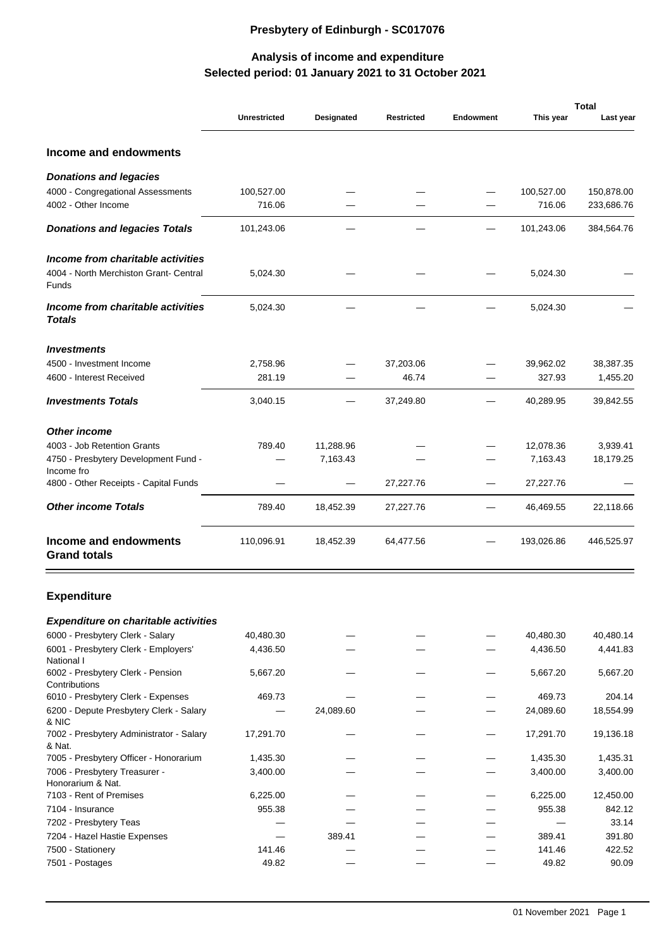## **Presbytery of Edinburgh - SC017076**

## **Selected period: 01 January 2021 to 31 October 2021 Analysis of income and expenditure**

|                                                    |                     |            |                   |                  | <b>Total</b> |            |
|----------------------------------------------------|---------------------|------------|-------------------|------------------|--------------|------------|
|                                                    | <b>Unrestricted</b> | Designated | <b>Restricted</b> | <b>Endowment</b> | This year    | Last year  |
| Income and endowments                              |                     |            |                   |                  |              |            |
| Donations and legacies                             |                     |            |                   |                  |              |            |
| 4000 - Congregational Assessments                  | 100,527.00          |            |                   |                  | 100,527.00   | 150,878.00 |
| 4002 - Other Income                                | 716.06              |            |                   |                  | 716.06       | 233,686.76 |
| Donations and legacies Totals                      | 101,243.06          |            |                   |                  | 101,243.06   | 384,564.76 |
| Income from charitable activities                  |                     |            |                   |                  |              |            |
| 4004 - North Merchiston Grant- Central<br>Funds    | 5,024.30            |            |                   |                  | 5,024.30     |            |
| Income from charitable activities<br>Totals        | 5,024.30            |            |                   |                  | 5,024.30     |            |
| Investments                                        |                     |            |                   |                  |              |            |
| 4500 - Investment Income                           | 2,758.96            |            | 37,203.06         |                  | 39,962.02    | 38,387.35  |
| 4600 - Interest Received                           | 281.19              |            | 46.74             |                  | 327.93       | 1,455.20   |
| <b>Investments Totals</b>                          | 3,040.15            |            | 37,249.80         |                  | 40,289.95    | 39,842.55  |
| Other income                                       |                     |            |                   |                  |              |            |
| 4003 - Job Retention Grants                        | 789.40              | 11,288.96  |                   |                  | 12,078.36    | 3,939.41   |
| 4750 - Presbytery Development Fund -               |                     | 7,163.43   |                   |                  | 7,163.43     | 18,179.25  |
| Income fro                                         |                     |            |                   |                  |              |            |
| 4800 - Other Receipts - Capital Funds              |                     |            | 27,227.76         |                  | 27,227.76    |            |
| Other income Totals                                | 789.40              | 18,452.39  | 27,227.76         |                  | 46,469.55    | 22,118.66  |
| Income and endowments<br><b>Grand totals</b>       | 110,096.91          | 18,452.39  | 64,477.56         |                  | 193,026.86   | 446,525.97 |
| <b>Expenditure</b>                                 |                     |            |                   |                  |              |            |
| Expenditure on charitable activities               |                     |            |                   |                  |              |            |
| 6000 - Presbytery Clerk - Salary                   | 40,480.30           |            |                   |                  | 40,480.30    | 40,480.14  |
| 6001 - Presbytery Clerk - Employers'<br>National I | 4,436.50            |            |                   |                  | 4,436.50     | 4,441.83   |
| 6002 - Presbytery Clerk - Pension<br>Contributions | 5,667.20            |            |                   |                  | 5,667.20     | 5,667.20   |
| 6010 - Presbytery Clerk - Expenses                 | 469.73              |            |                   |                  | 469.73       | 204.14     |
| 6200 - Depute Presbytery Clerk - Salary            |                     | 24,089.60  |                   |                  | 24,089.60    | 18,554.99  |
| & NIC<br>7002 - Presbytery Administrator - Salary  | 17,291.70           |            |                   |                  | 17,291.70    | 19,136.18  |
| & Nat.                                             |                     |            |                   |                  |              |            |
| 7005 - Presbytery Officer - Honorarium             | 1,435.30            |            |                   |                  | 1,435.30     | 1,435.31   |
| 7006 - Presbytery Treasurer -                      | 3,400.00            |            |                   |                  | 3,400.00     | 3,400.00   |
| Honorarium & Nat.                                  |                     |            |                   |                  |              |            |
| 7103 - Rent of Premises                            | 6,225.00            |            |                   |                  | 6,225.00     | 12,450.00  |
| 7104 - Insurance                                   | 955.38              |            |                   |                  | 955.38       | 842.12     |
| 7202 - Presbytery Teas                             |                     |            |                   |                  |              | 33.14      |
| 7204 - Hazel Hastie Expenses                       |                     | 389.41     |                   |                  | 389.41       | 391.80     |
| 7500 - Stationery                                  | 141.46              |            |                   |                  | 141.46       | 422.52     |
| 7501 - Postages                                    | 49.82               |            |                   |                  | 49.82        | 90.09      |